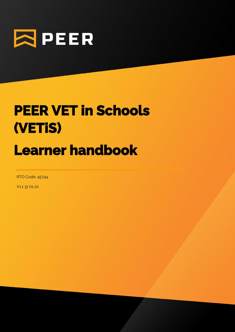

# **PEER VET in Schools (VETiS) Learner handbook**

1

RTO Code: 45744

V1.1 31 01 22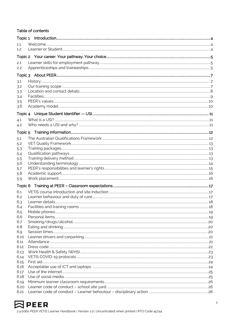#### Table of contents

| 1.1              |  |
|------------------|--|
| 1.2 <sub>2</sub> |  |
|                  |  |
|                  |  |
| 2.1              |  |
| 2.2              |  |
|                  |  |
| 3.1              |  |
| 3.2              |  |
| 3.3              |  |
| 3.4              |  |
| 3.5              |  |
| 3.6              |  |
|                  |  |
|                  |  |
| 4.1              |  |
| 4.2              |  |
|                  |  |
|                  |  |
| 5.1              |  |
| 5.2              |  |
| 5.3              |  |
| 5.4              |  |
| 5.5              |  |
| 5.6              |  |
| 5.7              |  |
| 5.8              |  |
| 5.9              |  |
|                  |  |
| 6.1              |  |
| 6.2              |  |
| 6.3              |  |
| 6.4              |  |
| 6.5              |  |
| 6.6              |  |
| 6.7              |  |
| 6.8              |  |
| 6.9              |  |
| 6.10             |  |
| 6.11             |  |
| 6.12             |  |
| 6.13             |  |
| 6.14             |  |
| 6.15             |  |
| 6.16             |  |
| 6.17             |  |
| 6.18             |  |
| 6.19             |  |
| 6.20             |  |
| 6.21             |  |

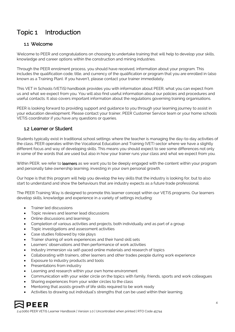# Topic 1 Introduction

# 1.1 Welcome

Welcome to PEER and congratulations on choosing to undertake training that will help to develop your skills, knowledge and career options within the construction and mining industries.

Through the PEER enrolment process, you should have received, information about your program. This includes the qualification code, title, and currency of the qualification or program that you are enrolled in (also known as a Training Plan). If you haven't, please contact your trainer immediately.

This VET in Schools (VETiS) handbook provides you with information about PEER, what you can expect from us and what we expect from you. You will also find useful information about our policies and procedures and useful contacts. It also covers important information about the regulations governing training organisations.

PEER is looking forward to providing support and guidance to you through your learning journey to assist in your education development. Please contact your trainer, PEER Customer Service team or your home schools VETiS coordinator if you have any questions or queries.

#### 1.2 Learner or Student

Students typically exist in traditional school settings where the teacher is managing the day-to-day activities of the class. PEER operates within the Vocational Education and Training (VET) sector where we have a slightly different focus and way of developing skills. This means you should expect to see some differences not only in some of the words that are used but also in how your trainer runs your class and what we expect from you.

Within PEER, we refer to learners as we want you to be deeply engaged with the content within your program and personally take ownership learning, investing in your own personal growth.

Our hope is that this program will help you develop the key skills that the industry is looking for, but to also start to understand and show the behaviours that are industry expects as a future trade professional.

The PEER Training Way is designed to promote this learner concept within our VETiS programs. Our learners develop skills, knowledge and experience in a variety of settings including:

- Trainer led discussions
- Topic reviews and learner lead discussions
- Online discussions and learnings
- Completion of various activities and projects, both individually and as part of a group
- Topic investigations and assessment activities
- Case studies followed by role plays
- Trainer sharing of work experiences and their hand skill sets
- Learners' observations and then performance of work activities
- Industry immersion via self-paced online materials and research of topics
- Collaborating with trainers, other learners and other trades people during work experience
- Exposure to industry products and tools
- Presentations from industry
- Learning and research within your own home environment
- Communication with your wider circle on the topics with family, friends, sports and work colleagues
- Sharing experiences from your wider circles to the class
- Mentoring that assists growth of life skills required to be work ready
- Activities to drawing out individual's strengths that can be used within their learning.

# **PEER**

2.4.0060 PEER VETiS Learner Handbook | Version 1.0 | Uncontrolled when printed | RTO Code 45744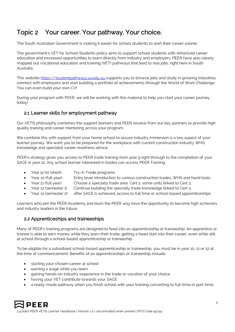# Topic 2 Your career. Your pathway. Your choice.

The South Australian Government is making it easier for school students to start their career sooner.

The government's [VET for School Students policy](https://www.education.sa.gov.au/sites/default/files/vet-for-school-students.pdf) aims to support school students with enhanced career education and increased opportunities to learn directly from industry and employers. PEER have also clearly mapped out vocational education and training (VET) pathways that lead to real jobs, right here in South Australia.

This website [https://studentpathways.sa.edu.au](https://studentpathways.sa.edu.au/) supports you to browse jobs and study in growing industries, connect with employers and start building a portfolio of achievements through the World of Work Challenge. You can even build your own CV!

During your program with PEER, we will be working with this material to help you start your career journey today!

## 2.1 Learner skills for employment pathway

Our VETiS philosophy combines the support learners and PEER receive from our key partners to provide high quality training and career mentoring across your program.

We combine this with support from your home school to assure industry immersion is a key aspect of your learner journey. We want you to be prepared for the workplace with current construction industry WHS knowledge and specialist career readiness advice.

PEER's strategy gives you access to PEER trade training from year 9 right through to the completion of your SACE in year 12. Any school learner interested in trades can access PEER Training:

- Year  $9/10$  (short) Try-A-Trade programs
- Year 10 (full year) Entry level introduction to various construction trades, WHS and hand tools
- Year 11 (full year) Choose a specialty trade area. Cert 2, some units linked to Cert 3.
- Year 12 (semester 1) Continue building the specialty trade knowledge linked to Cert 3.
- Year 12 (semester 2) after SACE is achieved, access to full time or school-based apprenticeships

Learners who join the PEER Academy and learn the PEER way have the opportunity to become high achievers and industry leaders in the future.

#### 2.2 Apprenticeships and traineeships

Many of PEER's training programs are designed to feed into an apprenticeship or traineeship. An apprentice or trainee is able to earn money while they learn their trade, getting a head start into their career, even while still at school through a school-based apprenticeship or traineeship.

To be eligible for a subsidised school-based apprenticeship or traineeship, you must be in year 10, 11 or 12 at the time of commencement. Benefits of an apprenticeships or traineeship include:

- starting your chosen career at school
- earning a wage while you learn
- gaining hands-on industry experience in the trade or vocation of your choice
- having your VET contribute towards your SACE
- a ready-made pathway when you finish school with your training converting to full-time or part-time.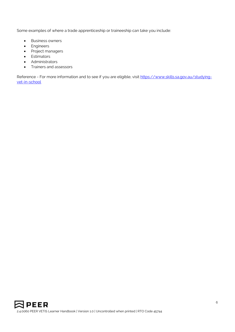Some examples of where a trade apprenticeship or traineeship can take you include:

- Business owners
- Engineers
- Project managers
- Estimators
- Administrators
- Trainers and assessors

Reference - For more information and to see if you are eligible, visit [https://www.skills.sa.gov.au/studying](https://www.skills.sa.gov.au/studying-vet-in-school)[vet-in-school](https://www.skills.sa.gov.au/studying-vet-in-school)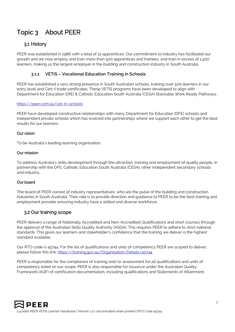# Topic 3 About PEER

# 3.1 History

PEER was established in 1986 with a total of 12 apprentices. Our commitment to industry has facilitated our growth and we now employ and train more than 500 apprentices and trainees, and train in excess of 1,400 learners, making us the largest employer in the building and construction industry in South Australia.

#### **3.1.1 VETiS – Vocational Education Training in Schools**

PEER has established a very strong presence in South Australian schools, training over 500 learners in our entry level and Cert II trade certificates. These VETiS programs have been developed to align with Department for Education (DfE) & Catholic Education South Australia (CESA) Stackable Work Ready Pathways.

#### <https://peer.com.au/vet-in-schools>

PEER have developed constructive relationships with many Department for Education (DFE) schools and independent private schools which has evolved into partnerships where we support each other to get the best results for our learners.

#### Our vision

To be Australia's leading learning organisation.

#### Our mission

To address Australia's skills development through the attraction, training and employment of quality people, in partnership with the DFE, Catholic Education South Australia (CESA), other independent secondary schools and industry.

#### Our board

The board of PEER consist of industry representatives, who are the pulse of the building and construction industries in South Australia. Their role is to provide direction and guidance to PEER to be the best training and employment provider ensuring industry have a skilled and diverse workforce.

#### 3.2 Our training scope

PEER delivers a range of Nationally Accredited and Non-Accredited Qualifications and short courses through the approval of the Australian Skills Quality Authority (ASQA). This requires PEER to adhere to strict national standards. This gives our learners and stakeholder's confidence that the training we deliver is the highest standard available.

Our RTO code is 45744. For the list of qualifications and units of competency PEER are scoped to deliver, please follow this link:<https://training.gov.au/Organisation/Details/45744>

PEER is responsible for the compliance of training and/or assessment for all qualifications and units of competency listed on our scope. PEER is also responsible for issuance under the Australian Quality Framework (AQF) of certification documentation, including qualifications and Statements of Attainment.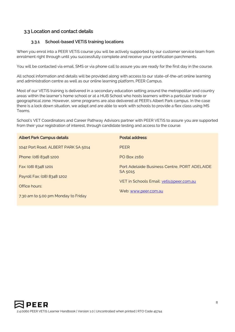# 3.3 Location and contact details

#### **3.3.1 School-based VETiS training locations**

When you enrol into a PEER VETiS course you will be actively supported by our customer service team from enrolment right through until you successfully complete and receive your certification parchments.

You will be contacted via email, SMS or via phone call to assure you are ready for the first day in the course.

All school information and details will be provided along with access to our state-of-the-art online learning and administration centre as well as our online learning platform, PEER Campus.

Most of our VETiS training is delivered in a secondary education setting around the metropolitan and country areas within the learner's home school or at a HUB School who hosts learners within a particular trade or geographical zone. However, some programs are also delivered at PEER's Albert Park campus. In the case there is a lock down situation, we adapt and are able to work with schools to provide a flex class using MS Teams.

School's VET Coordinators and Career Pathway Advisors partner with PEER VETiS to assure you are supported from their your registration of interest, through candidate testing and access to the course.

| <b>Albert Park Campus details</b>   | Postal address:                                         |
|-------------------------------------|---------------------------------------------------------|
| 1042 Port Road, ALBERT PARK SA 5014 | <b>PEER</b>                                             |
| Phone: (08) 8348 1200               | PO Box 2160                                             |
| Fax: (08) 8348 1201                 | Port Adelaide Business Centre, PORT ADELAIDE<br>SA 5015 |
| Payroll Fax: (08) 8348 1202         |                                                         |
| Office hours:                       | VET in Schools Email: vetis@peer.com.au                 |
| 7.30 am to 5.00 pm Monday to Friday | Web: www.peer.com.au                                    |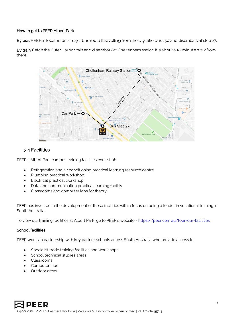#### How to get to PEER Albert Park

By bus: PEER is located on a major bus route. If travelling from the city take bus 150 and disembark at stop 27.

By train: Catch the Outer Harbor train and disembark at Cheltenham station. It is about a 10 minute walk from there.



#### 3.4 Facilities

PEER's Albert Park campus training facilities consist of:

- Refrigeration and air conditioning practical learning resource centre
- Plumbing practical workshop
- Electrical practical workshop
- Data and communication practical learning facility
- Classrooms and computer labs for theory.

PEER has invested in the development of these facilities with a focus on being a leader in vocational training in South Australia.

To view our training facilities at Albert Park, go to PEER's website - <https://peer.com.au/tour-our-facilities>

#### School facilities

PEER works in partnership with key partner schools across South Australia who provide access to:

- Specialist trade training facilities and workshops
- School technical studies areas
- Classrooms
- Computer labs
- Outdoor areas.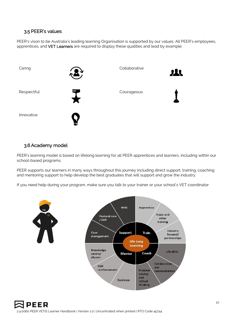## 3.5 PEER's values

PEER's vison to be Australia's leading learning Organisation is supported by our values. All PEER's employees, apprentices, and VET Learners are required to display these qualities and lead by example.



#### 3.6Academy model

PEER's learning model is based on lifelong learning for all PEER apprentices and learners, including within our school-based programs.

PEER supports our learners in many ways throughout this journey including direct support, training, coaching and mentoring support to help develop the best graduates that will support and grow the industry.

If you need help during your program, make sure you talk to your trainer or your school's VET coordinator

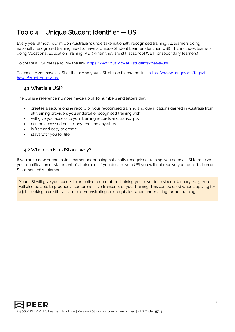# Topic 4 Unique Student Identifier — USI

Every year almost four million Australians undertake nationally recognised training. All learners doing nationally recognised training need to have a Unique Student Learner Identifier (USI). This includes learners doing Vocational Education Training (VET) when they are still at school (VET for secondary learners).

To create a USI, please follow the link:<https://www.usi.gov.au/students/get-a-usi>

To check if you have a USI or the to find your USI, please follow the link: [https://www.usi.gov.au/faqs/i](https://www.usi.gov.au/faqs/i-have-forgotten-my-usi)[have-forgotten-my-usi](https://www.usi.gov.au/faqs/i-have-forgotten-my-usi)

#### 4.1 What is a USI?

The USI is a reference number made up of 10 numbers and letters that:

- creates a secure online record of your recognised training and qualifications gained in Australia from all training providers you undertake recognised training with
- will give you access to your training records and transcripts
- can be accessed online, anytime and anywhere
- is free and easy to create
- stays with you for life.

## 4.2 Who needs a USI and why?

If you are a new or continuing learner undertaking nationally recognised training, you need a USI to receive your qualification or statement of attainment. If you don't have a USI you will not receive your qualification or Statement of Attainment.

Your USI will give you access to an online record of the training you have done since 1 January 2015. You will also be able to produce a comprehensive transcript of your training. This can be used when applying for a job, seeking a credit transfer, or demonstrating pre-requisites when undertaking further training.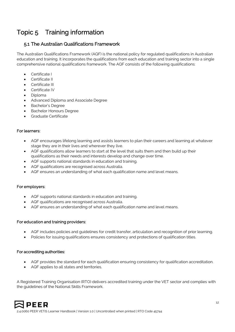# Topic 5 Training information

# 5.1 The Australian Qualifications Framework

The Australian Qualifications Framework (AQF) is the national policy for regulated qualifications in Australian education and training. It incorporates the qualifications from each education and training sector into a single comprehensive national qualifications framework. The AQF consists of the following qualifications:

- Certificate I
- Certificate II
- Certificate III
- Certificate IV
- Diploma
- Advanced Diploma and Associate Degree
- Bachelor's Degree
- Bachelor Honours Degree
- Graduate Certificate

#### For learners:

- AQF encourages lifelong learning and assists learners to plan their careers and learning at whatever stage they are in their lives and wherever they live.
- AQF qualifications allow learners to start at the level that suits them and then build up their qualifications as their needs and interests develop and change over time.
- AQF supports national standards in education and training.
- AQF qualifications are recognised across Australia.
- AQF ensures an understanding of what each qualification name and level means.

#### For employers:

- AQF supports national standards in education and training.
- AQF qualifications are recognised across Australia.
- AQF ensures an understanding of what each qualification name and level means.

#### For education and training providers:

- AQF includes policies and guidelines for credit transfer, articulation and recognition of prior learning.
- Policies for issuing qualifications ensures consistency and protections of qualification titles.

#### For accrediting authorities:

- AQF provides the standard for each qualification ensuring consistency for qualification accreditation.
- AQF applies to all states and territories.

A Registered Training Organisation (RTO) delivers accredited training under the VET sector and complies with the guidelines of the National Skills Framework.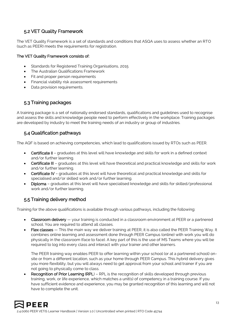# 5.2 VET Quality Framework

The VET Quality Framework is a set of standards and conditions that ASQA uses to assess whether an RTO (such as PEER) meets the requirements for registration.

#### The VET Quality Framework consists of:

- Standards for Registered Training Organisations, 2015
- The Australian Qualifications Framework
- Fit and proper person requirements
- Financial viability risk assessment requirements
- Data provision requirements.

## 5.3 Training packages

A training package is a set of nationally endorsed standards, qualifications and guidelines used to recognise and assess the skills and knowledge people need to perform effectively in the workplace. Training packages are developed by industry to meet the training needs of an industry or group of industries.

# 5.4 Qualification pathways

The AQF is based on achieving competencies, which lead to qualifications issued by RTOs such as PEER.

- Certificate II graduates at this level will have knowledge and skills for work in a defined context and/or further learning.
- Certificate III graduates at this level will have theoretical and practical knowledge and skills for work and/or further learning.
- Certificate IV graduates at this level will have theoretical and practical knowledge and skills for specialised and/or skilled work and/or further learning.
- Diploma graduates at this level will have specialised knowledge and skills for skilled/professional work and/or further learning.

# 5.5 Training delivery method

Training for the above qualifications is available through various pathways, including the following:

- Classroom delivery your training is conducted in a classroom environment at PEER or a partnered school. You are required to attend all classes.
- Flex classes This the main way we deliver training at PEER, it is also called the PEER Training Way. It combines online learning and assessment done through PEER Campus (online) with work you will do physically in the classroom (face to face). A key part of this is the use of MS Teams where you will be required to log into every class and interact with your trainer and other learners.

The PEER training way enables PEER to offer learning within your school (or at a partnered school) onsite or from a different location, such as your home through PEER Campus. This hybrid delivery gives you more flexibility, but you will always need to get approval from your school and trainer if you are not going to physically come to class.

Recognition of Prior Learning (RPL) – RPL is the recognition of skills developed through previous training, work, or life experience, which matches a unit(s) of competency in a training course. If you have sufficient evidence and experience, you may be granted recognition of this learning and will not have to complete the unit.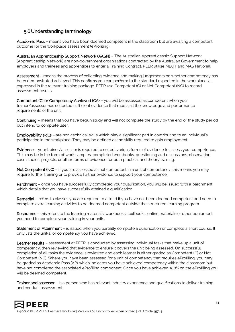# 5.6 Understanding terminology

Academic Pass – means you have been deemed competent in the classroom but are awaiting a competent outcome for the workplace assessment (eProfiling).

Australian Apprenticeship Support Network (AASN) – The Australian Apprenticeship Support Network (Apprenticeship Network) are non-government organisations contracted by the Australian Government to help employers and trainees and apprentices to enter a Training Contract. PEER utilise MEGT and MAS National.

Assessment – means the process of collecting evidence and making judgements on whether competency has been demonstrated achieved. This confirms you can perform to the standard expected in the workplace, as expressed in the relevant training package. PEER use Competent (C) or Not Competent (NC) to record assessment results.

Competent (C) or Competency Achieved (CA) – you will be assessed as competent when your trainer/assessor has collected sufficient evidence that meets all the knowledge and performance requirements of the unit.

Continuing – means that you have begun study and will not complete the study by the end of the study period but intend to complete later.

Employability skills – are non-technical skills which play a significant part in contributing to an individual's participation in the workplace. They may be defined as the skills required to gain employment.

Evidence – your trainer/assessor is required to collect various forms of evidence to assess your competence. This may be in the form of work samples, completed workbooks, questioning and discussions, observation, case studies, projects, or other forms of evidence for both practical and theory training.

Not Competent (NC) – if you are assessed as not competent in a unit of competency, this means you may require further training or to provide further evidence to support your competence.

Parchment – once you have successfully completed your qualification, you will be issued with a parchment which details that you have successfully attained a qualification.

Remedial – refers to classes you are required to attend if you have not been deemed competent and need to complete extra learning activities to be deemed competent outside the structured learning program.

Resources – this refers to the learning materials, workbooks, textbooks, online materials or other equipment you need to complete your training in your units.

Statement of Attainment – is issued when you partially complete a qualification or complete a short course. It only lists the unit(s) of competency you have achieved.

Learner results - assessment at PEER is conducted by assessing individual tasks that make up a unit of competency, then reviewing that evidence to ensure it covers the unit being assessed. On successful completion of all tasks the evidence is reviewed and each learner is either graded as Competent (C) or Not Competent (NC). Where you have been assessed for a unit of competency that requires eProfiling, you may be graded as Academic Pass (AP) which indicates you have achieved competency within the classroom but have not completed the associated eProfiling component. Once you have achieved 100% on the eProfiling you will be deemed competent.

Trainer and assessor – is a person who has relevant industry experience and qualifications to deliver training and conduct assessment.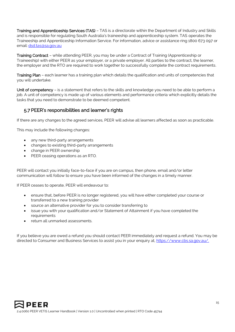Training and Apprenticeship Services (TAS) – TAS is a directorate within the Department of Industry and Skills and is responsible for regulating South Australia's traineeship and apprenticeship system. TAS operates the Traineeship and Apprenticeship Information Service. For information, advice or assistance ring 1800 673 097 or email: [dsd.tas@sa.gov.au](mailto:dsd.tas@sa.gov.au)

Training Contract – while attending PEER, you may be under a Contract of Training (Apprenticeship or Traineeship) with either PEER as your employer, or a private employer. All parties to the contract, the learner, the employer and the RTO are required to work together to successfully complete the contract requirements.

Training Plan – each learner has a training plan which details the qualification and units of competencies that you will undertake.

Unit of competency – is a statement that refers to the skills and knowledge you need to be able to perform a job. A unit of competency is made up of various elements and performance criteria which explicitly details the tasks that you need to demonstrate to be deemed competent.

#### 5.7 PEER's responsibilities and learner's rights

If there are any changes to the agreed services, PEER will advise all learners affected as soon as practicable.

This may include the following changes:

- any new third-party arrangements
- changes to existing third-party arrangements
- change in PEER ownership
- PEER ceasing operations as an RTO.

PEER will contact you initially face-to-face if you are on campus, then phone, email and/or letter communication will follow to ensure you have been informed of the changes in a timely manner.

If PEER ceases to operate, PEER will endeavour to:

- ensure that, before PEER is no longer registered, you will have either completed your course or transferred to a new training provider
- source an alternative provider for you to consider transferring to
- issue you with your qualification and/or Statement of Attainment if you have completed the requirements
- return all unmarked assessments.

If you believe you are owed a refund you should contact PEER immediately and request a refund. You may be directed to Consumer and Business Services to assist you in your enquiry at, [https://www.cbs.sa.gov.au/.](https://www.cbs.sa.gov.au/)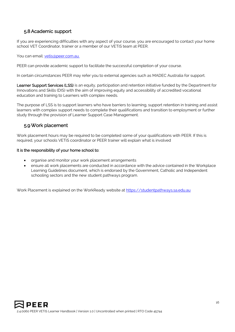# 5.8Academic support

If you are experiencing difficulties with any aspect of your course, you are encouraged to contact your home school VET Coordinator, trainer or a member of our VETiS team at PEER.

You can email: vetis@peer.com.au.

PEER can provide academic support to facilitate the successful completion of your course.

In certain circumstances PEER may refer you to external agencies such as MADEC Australia for support.

Learner Support Services (LSS) is an equity, participation and retention initiative funded by the Department for Innovations and Skills (DIS) with the aim of improving equity and accessibility of accredited vocational education and training to Learners with complex needs.

The purpose of LSS is to support learners who have barriers to learning, support retention in training and assist learners with complex support needs to complete their qualifications and transition to employment or further study through the provision of Learner Support Case Management.

#### 5.9Work placement

Work placement hours may be required to be completed some of your qualifications with PEER. If this is required, your schools VETiS coordinator or PEER trainer will explain what is involved

#### It is the responsibility of your home school to:

- organise and monitor your work placement arrangements
- ensure all work placements are conducted in accordance with the advice contained in the Workplace Learning Guidelines document, which is endorsed by the Government, Catholic and Independent schooling sectors and the new student pathways program.

Work Placement is explained on the WorkReady website at [https://studentpathways.sa.edu.au](https://studentpathways.sa.edu.au/)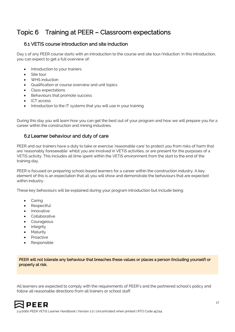# Topic 6 Training at PEER – Classroom expectations

# 6.1 VETiS course introduction and site induction

Day 1 of any PEER course starts with an introduction to the course and site tour/induction. In this introduction, you can expect to get a full overview of:

- Introduction to your trainers
- Site tour
- WHS induction
- Qualification or course overview and unit topics
- Class expectations
- Behaviours that promote success
- ICT access
- Introduction to the IT systems that you will use in your training

During this day you will learn how you can get the best out of your program and how we will prepare you for a career within the construction and mining industries.

#### 6.2 Learner behaviour and duty of care

PEER and our trainers have a duty to take or exercise 'reasonable care' to protect you from risks of harm that are 'reasonably foreseeable' whilst you are involved in VETiS activities, or are present for the purposes of a VETiS activity. This includes all time spent within the VETiS environment from the start to the end of the training day.

PEER is focused on preparing school-based learners for a career within the construction industry. A key element of this is an expectation that all you will show and demonstrate the behaviours that are expected within industry.

These key behaviours will be explained during your program introduction but include being:

- **Caring**
- **Respectful**
- Innovative
- Collaborative
- Courageous
- Integrity
- **Maturity**
- **Proactive**
- **Responsible**

PEER will not tolerate any behaviour that breaches these values or places a person (including yourself) or property at risk.

All learners are expected to comply with the requirements of PEER's and the partnered school's policy and follow all reasonable directions from all trainers or school staff.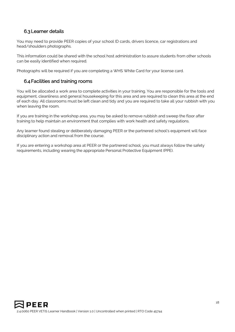# 6.3 Learner details

You may need to provide PEER copies of your school ID cards, drivers licence, car registrations and head/shoulders photographs.

This information could be shared with the school host administration to assure students from other schools can be easily identified when required.

Photographs will be required if you are completing a WHS White Card for your license card.

## 6.4 Facilities and training rooms

You will be allocated a work area to complete activities in your training. You are responsible for the tools and equipment, cleanliness and general housekeeping for this area and are required to clean this area at the end of each day. All classrooms must be left clean and tidy and you are required to take all your rubbish with you when leaving the room.

If you are training in the workshop area, you may be asked to remove rubbish and sweep the floor after training to help maintain an environment that complies with work health and safety regulations.

Any learner found stealing or deliberately damaging PEER or the partnered school's equipment will face disciplinary action and removal from the course.

If you are entering a workshop area at PEER or the partnered school, you must always follow the safety requirements, including wearing the appropriate Personal Protective Equipment (PPE).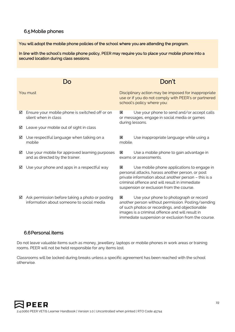## 6.5 Mobile phones

You will adopt the mobile phone policies of the school where you are attending the program.

In line with the school's mobile phone policy, PEER may require you to place your mobile phone into a secured location during class sessions.

|          |                                                                                              | Don't                                                                                                                                                                                                                                                           |
|----------|----------------------------------------------------------------------------------------------|-----------------------------------------------------------------------------------------------------------------------------------------------------------------------------------------------------------------------------------------------------------------|
| You must |                                                                                              | Disciplinary action may be imposed for inappropriate<br>use or if you do not comply with PEER's or partnered<br>school's policy where you:                                                                                                                      |
| ☑        | Ensure your mobile phone is switched off or on<br>silent when in class                       | Use your phone to send and/or accept calls<br>図<br>or messages, engage in social media or games<br>during lessons.                                                                                                                                              |
| ☑        | Leave your mobile out of sight in class                                                      |                                                                                                                                                                                                                                                                 |
| ☑        | Use respectful language when talking on a<br>mobile                                          | Use inappropriate language while using a<br>⊠<br>mobile.                                                                                                                                                                                                        |
| ☑        | Use your mobile for approved learning purposes<br>and as directed by the trainer.            | Use a mobile phone to gain advantage in<br> x <br>exams or assessments.                                                                                                                                                                                         |
| ☑        | Use your phone and apps in a respectful way                                                  | Use mobile phone applications to engage in<br> x<br>personal attacks, harass another person, or post<br>private information about another person - this is a<br>criminal offence and will result in immediate<br>suspension or exclusion from the course.       |
| ☑        | Ask permission before taking a photo or posting<br>information about someone to social media | Use your phone to photograph or record<br> x <br>another person without permission. Posting/sending<br>of such photos or recordings, and objectionable<br>images is a criminal offence and will result in<br>immediate suspension or exclusion from the course. |

#### 6.6Personal items

Do not leave valuable items such as money, jewellery, laptops or mobile phones in work areas or training rooms. PEER will not be held responsible for any items lost.

Classrooms will be locked during breaks unless a specific agreement has been reached with the school otherwise.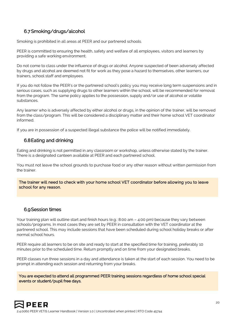# 6.7Smoking/drugs/alcohol

Smoking is prohibited in all areas at PEER and our partnered schools.

PEER is committed to ensuring the health, safety and welfare of all employees, visitors and learners by providing a safe working environment.

Do not come to class under the influence of drugs or alcohol. Anyone suspected of been adversely affected by drugs and alcohol are deemed not fit for work as they pose a hazard to themselves, other learners, our trainers, school staff and employees.

If you do not follow the PEER's or the partnered school's policy you may receive long term suspensions and in serious cases, such as supplying drugs to other learners within the school, will be recommended for removal from the program. The same policy applies to the possession, supply and/or use of alcohol or volatile substances.

Any learner who is adversely affected by either alcohol or drugs, in the opinion of the trainer, will be removed from the class/program. This will be considered a disciplinary matter and their home school VET coordinator informed.

If you are in possession of a suspected illegal substance the police will be notified immediately.

## 6.8Eating and drinking

Eating and drinking is not permitted in any classroom or workshop, unless otherwise stated by the trainer. There is a designated canteen available at PEER and each partnered school.

You must not leave the school grounds to purchase food or any other reason without written permission from the trainer.

The trainer will need to check with your home school VET coordinator before allowing you to leave school for any reason.

#### 6.9Session times

Your training plan will outline start and finish hours (e.g.: 8:00 am - 4:00 pm) because they vary between schools/programs. In most cases they are set by PEER in consultation with the VET coordinator at the partnered school. This may include sessions that have been scheduled during school holiday breaks or after normal school hours.

PEER require all learners to be on site and ready to start at the specified time for training, preferably 10 minutes prior to the scheduled time. Return promptly and on time from your designated breaks.

PEER classes run three sessions in a day and attendance is taken at the start of each session. You need to be prompt in attending each session and returning from your breaks.

You are expected to attend all programmed PEER training sessions regardless of home school special events or student/pupil free days.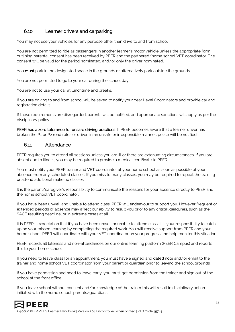# 6.10 Learner drivers and carparking

You may not use your vehicles for any purpose other than drive to and from school.

You are not permitted to ride as passengers in another learner's motor vehicle unless the appropriate form outlining parental consent has been received by PEER and the partnered/home school VET coordinator. The consent will be valid for the period nominated, and/or only the driver nominated.

You must park in the designated space in the grounds or alternatively park outside the grounds.

You are not permitted to go to your car during the school day.

You are not to use your car at lunchtime and breaks.

If you are driving to and from school will be asked to notify your Year Level Coordinators and provide car and registration details.

If these requirements are disregarded, parents will be notified, and appropriate sanctions will apply as per the disciplinary policy.

PEER has a zero tolerance for unsafe driving practices. If PEER becomes aware that a learner driver has broken the P1 or P2 road rules or driven in an unsafe or irresponsible manner, police will be notified.

#### 6.11 Attendance

PEER requires you to attend all sessions unless you are ill or there are extenuating circumstances. If you are absent due to illness, you may be required to provide a medical certificate to PEER.

You must notify your PEER trainer and VET coordinator at your home school as soon as possible of your absence from any scheduled classes. If you miss to many classes, you may be required to repeat the training or attend additional make up classes.

It is the parent/caregiver's responsibility to communicate the reasons for your absence directly to PEER and the home school VET coordinator.

If you have been unwell and unable to attend class, PEER will endeavour to support you. However frequent or extended periods of absence may affect our ability to result you prior to any critical deadlines, such as the SACE resulting deadline, or in extreme cases at all.

It is PEER's expectation that if you have been unwell or unable to attend class, it is your responsibility to catchup on your missed learning by completing the required work. You will receive support from PEER and your home school. PEER will coordinate with your VET coordinator on your progress and help monitor this situation.

PEER records all lateness and non-attendances on our online learning platform (PEER Campus) and reports this to your home school.

If you need to leave class for an appointment, you must have a signed and dated note and/or email to the trainer and home school VET coordinator from your parent or guardian prior to leaving the school grounds.

If you have permission and need to leave early, you must get permission from the trainer and sign out of the school at the front office.

If you leave school without consent and/or knowledge of the trainer this will result in disciplinary action initiated with the home school, parents/guardians.

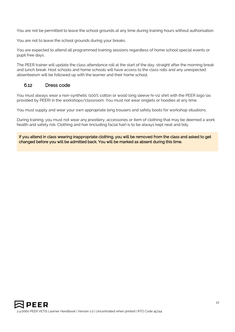You are not be permitted to leave the school grounds at any time during training hours without authorisation.

You are not to leave the school grounds during your breaks.

You are expected to attend all programmed training sessions regardless of home school special events or pupil free days.

The PEER trainer will update the class attendance roll at the start of the day, straight after the morning break and lunch break. Host schools and home schools will have access to the class rolls and any unexpected absenteeism will be followed up with the learner and their home school.

#### 6.12 Dress code

You must always wear a non-synthetic (100% cotton or wool) long sleeve hi-viz shirt with the PEER logo (as provided by PEER) in the workshops/classroom. You must not wear singlets or hoodies at any time.

You must supply and wear your own appropriate long trousers and safety boots for workshop situations.

During training, you must not wear any jewellery, accessories or item of clothing that may be deemed a work health and safety risk. Clothing and hair (including facial hair) is to be always kept neat and tidy.

If you attend in class wearing inappropriate clothing, you will be removed from the class and asked to get changed before you will be admitted back. You will be marked as absent during this time.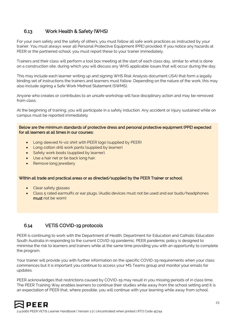# 6.13 Work Health & Safety (WHS)

For your own safety and the safety of others, you must follow all safe work practices as instructed by your trainer. You must always wear all Personal Protective Equipment (PPE) provided. If you notice any hazards at PEER or the partnered school, you must report these to your trainer immediately.

Trainers and their class will perform a tool box meeting at the start of each class day, similar to what is done on a construction site, during which you will discuss any WHS applicable issues that will occur during the day.

This may include each learner writing up and signing WHS Risk Analysis document (JSA) that form a legally binding set of instructions the trainers and learners must follow. Depending on the nature of the work, this may also include signing a Safe Work Method Statement (SWMS).

Anyone who creates or contributes to an unsafe workshop will face disciplinary action and may be removed from class.

At the beginning of training, you will participate in a safety induction. Any accident or injury sustained while on campus must be reported immediately

Below are the minimum standards of protective dress and personal protective equipment (PPE) expected for all learners at all times in our courses:

- Long sleeved hi-viz shirt with PEER logo (supplied by PEER)
- Long cotton drill work pants (supplied by learner)
- Safety work boots (supplied by learner).
- Use a hair net or tie back long hair.
- Remove long jewellery

#### Within all trade and practical areas or as directed/supplied by the PEER Trainer or school:

- Clear safety glasses
- Class 5 rated earmuffs or ear plugs. (Audio devices must not be used and ear buds/headphones must not be worn)

#### 6.14 VETiS COVID-19 protocols

PEER is continuing to work with the Department of Health, Department for Education and Catholic Education South Australia in responding to the current COVID-19 pandemic. PEER pandemic policy is designed to minimise the risk to learners and trainers while at the same time providing you with an opportunity to complete the program.

Your trainer will provide you with further information on the specific COVID-19 requirements when your class commences but it is important you continue to access your MS Teams group and monitor your emails for updates.

PEER acknowledges that restrictions caused by COVID-19 may result in you missing periods of in class time. The PEER Training Way enables learners to continue their studies while away from the school setting and it is an expectation of PEER that, where possible, you will continue with your learning while away from school.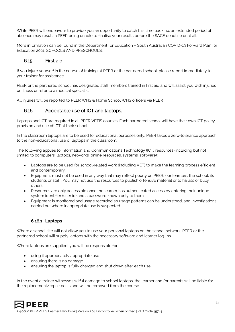While PEER will endeavour to provide you an opportunity to catch this time back up, an extended period of absence may result in PEER being unable to finalise your results before the SACE deadline or at all.

More information can be found in the Department for Education – South Australian COVID-19 Forward Plan for Education 2021: SCHOOLS AND PRESCHOOLS.

## 6.15 First aid

If you injure yourself in the course of training at PEER or the partnered school, please report immediately to your trainer for assistance.

PEER or the partnered school has designated staff members trained in first aid and will assist you with injuries or illness or refer to a medical specialist.

All injuries will be reported to PEER WHS & Home School WHS officers via PEER

## 6.16 Acceptable use of ICT and laptops.

Laptops and ICT are required in all PEER VETiS courses. Each partnered school will have their own ICT policy, provision and use of ICT at their school.

In the classroom laptops are to be used for educational purposes only. PEER takes a zero-tolerance approach to the non-educational use of laptops in the classroom.

The following applies to Information and Communications Technology (ICT) resources (including but not limited to computers, laptops, networks, online resources, systems, software):

- Laptops are to be used for school-related work (including VET) to make the learning process efficient and contemporary.
- Equipment must not be used in any way that may reflect poorly on PEER, our learners, the school, its students or staff. You may not use the resources to publish offensive material or to harass or bully others.
- Resources are only accessible once the learner has authenticated access by entering their unique system identifier (user id) and a password known only to them.
- Equipment is monitored and usage recorded so usage patterns can be understood, and investigations carried out where inappropriate use is suspected.

#### **6.16.1 Laptops**

Where a school site will not allow you to use your personal laptops on the school network, PEER or the partnered school will supply laptops with the necessary software and learner log-ins.

Where laptops are supplied, you will be responsible for:

- using it appropriately appropriate use
- ensuring there is no damage
- ensuring the laptop is fully charged and shut down after each use.

In the event a trainer witnesses wilful damage to school laptops, the learner and/or parents will be liable for the replacement/repair costs and will be removed from the course.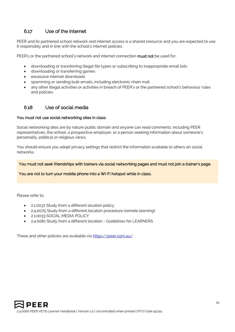# 6.17 Use of the internet

PEER and its partnered school network and internet access is a shared resource and you are expected to use it responsibly and in line with the school's internet policies.

PEER's or the partnered school's network and internet connection **must not** be used for:

- downloading or transferring illegal file types or subscribing to inappropriate email lists
- downloading or transferring games
- excessive internet downloads
- spamming or sending bulk emails, including electronic chain mail
- any other illegal activities or activities in breach of PEER's or the partnered school's behaviour rules and policies.

#### 6.18 Use of social media

#### You must not use social networking sites in class.

Social networking sites are by nature public domain and anyone can read comments, including PEER representatives, the school, a prospective employer, or a person seeking information about someone's personality, political or religious views.

You should ensure you adopt privacy settings that restrict the information available to others on social networks.

You must not seek friendships with trainers via social networking pages and must not join a trainer's page.

You are not to turn your mobile phone into a Wi-Fi hotspot while in class.

Please refer to:

- 2.1.0037 Study from a different location policy
- 2.4.0075 Study from a different location procedure (remote learning)
- 2.1.0033 SOCIAL MEDIA POLICY
- 2.4.0081 Study from a different location Guidelines for LEARNERS

These and other policies are available via <https://peer.com.au/>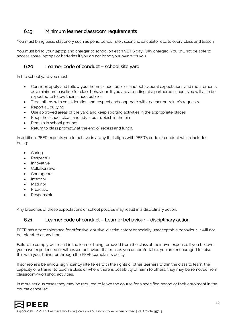## 6.19 Minimum learner classroom requirements

You must bring basic stationery such as pens, pencil, ruler, scientific calculator etc. to every class and lesson.

You must bring your laptop and charger to school on each VETiS day, fully charged. You will not be able to access spare laptops or batteries if you do not bring your own with you.

#### 6.20 Learner code of conduct – school site yard

In the school yard you must:

- Consider, apply and follow your home school policies and behavioural expectations and requirements as a minimum baseline for class behaviour. If you are attending at a partnered school, you will also be expected to follow their school policies
- Treat others with consideration and respect and cooperate with teacher or trainer's requests
- Report all bullying
- Use approved areas of the yard and keep sporting activities in the appropriate places
- Keep the school clean and tidy put rubbish in the bin
- Remain in school grounds
- Return to class promptly at the end of recess and lunch.

In addition, PEER expects you to behave in a way that aligns with PEER's code of conduct which includes being:

- **Caring**
- **Respectful**
- Innovative
- **Collaborative**
- **Courageous**
- **Integrity**
- **Maturity**
- **Proactive**
- Responsible

Any breaches of these expectations or school policies may result in a disciplinary action.

#### 6.21 Learner code of conduct – Learner behaviour – disciplinary action

PEER has a zero tolerance for offensive, abusive, discriminatory or socially unacceptable behaviour. It will not be tolerated at any time.

Failure to comply will result in the learner being removed from the class at their own expense. If you believe you have experienced or witnessed behaviour that makes you uncomfortable, you are encouraged to raise this with your trainer or through the PEER complaints policy.

If someone's behaviour significantly interferes with the rights of other learners within the class to learn, the capacity of a trainer to teach a class or where there is possibility of harm to others, they may be removed from classroom/workshop activities.

In more serious cases they may be required to leave the course for a specified period or their enrolment in the course cancelled.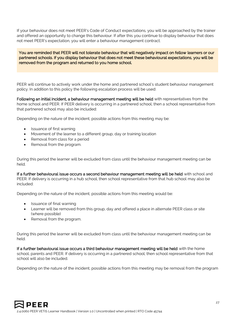If your behaviour does not meet PEER's Code of Conduct expectations, you will be approached by the trainer and offered an opportunity to change this behaviour. If after this you continue to display behaviour that does not meet PEER's expectation, you will enter a behaviour management contract.

You are reminded that PEER will not tolerate behaviour that will negatively impact on fellow learners or our partnered schools. If you display behaviour that does not meet these behavioural expectations, you will be removed from the program and returned to you home school.

PEER will continue to actively work under the home and partnered school's student behaviour management policy. In addition to this policy the following escalation process will be used:

Following an initial incident, a behaviour management meeting will be held with representatives from the home school and PEER. If PEER delivery is occurring in a partnered school, then a school representative from that partnered school may also be included:

Depending on the nature of the incident, possible actions from this meeting may be:

- Issuance of first warning
- Movement of the learner to a different group, day or training location
- Removal from class for a period
- Removal from the program.

During this period the learner will be excluded from class until the behaviour management meeting can be held.

If a further behavioural issue occurs a second behaviour management meeting will be held with school and PEER. If delivery is occurring in a hub school, then school representative from that hub school may also be included:

Depending on the nature of the incident, possible actions from this meeting would be:

- Issuance of final warning
- Learner will be removed from this group, day and offered a place in alternate PEER class or site (where possible)
- Removal from the program.

During this period the learner will be excluded from class until the behaviour management meeting can be held.

If a further behavioural issue occurs a third behaviour management meeting will be held with the home school, parents and PEER. If delivery is occurring in a partnered school, then school representative from that school will also be included.

Depending on the nature of the incident, possible actions from this meeting may be removal from the program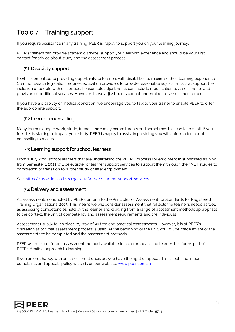# Topic 7 Training support

If you require assistance in any training, PEER is happy to support you on your learning journey.

PEER's trainers can provide academic advice, support your learning experience and should be your first contact for advice about study and the assessment process.

# 7.1 Disability support

PEER is committed to providing opportunity to learners with disabilities to maximise their learning experience. Commonwealth legislation requires education providers to provide reasonable adjustments that support the inclusion of people with disabilities. Reasonable adjustments can include modification to assessments and provision of additional services. However, these adjustments cannot undermine the assessment process.

If you have a disability or medical condition, we encourage you to talk to your trainer to enable PEER to offer the appropriate support.

#### 7.2 Learner counselling

Many learners juggle work, study, friends and family commitments and sometimes this can take a toll. If you feel this is starting to impact your study, PEER is happy to assist in providing you with information about counselling services.

## 7.3 Learning support for school learners

From 1 July 2021, school learners that are undertaking the VETRO process for enrolment in subsidised training from Semester 1 2022 will be eligible for learner support services to support them through their VET studies to completion or transition to further study or later employment.

See:<https://providers.skills.sa.gov.au/Deliver/student-support-services>

#### 7.4 Delivery and assessment

All assessments conducted by PEER conform to the Principles of Assessment for Standards for Registered Training Organisations, 2015. This means we will consider assessment that reflects the learner's needs as well as assessing competencies held by the learner and drawing from a range of assessment methods appropriate to the context, the unit of competency and assessment requirements and the individual.

Assessment usually takes place by way of written and practical assessments. However, it is at PEER's discretion as to what assessment process is used. At the beginning of the unit, you will be made aware of the assessments to be completed and the assessment methods.

PEER will make different assessment methods available to accommodate the learner, this forms part of PEER's flexible approach to learning.

If you are not happy with an assessment decision, you have the right of appeal. This is outlined in our complaints and appeals policy which is on our website: [www.peer.com.au](http://www.peer.com.au/)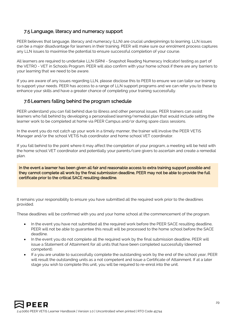#### 7.5 Language, literacy and numeracy support

PEER believes that language, literacy and numeracy (LLN) are crucial underpinnings to learning. LLN issues can be a major disadvantage for learners in their training. PEER will make sure our enrolment process captures any LLN issues to maximise the potential to ensure successful completion of your course.

All learners are required to undertake LLN (SRNI - Snapshot Reading Numeracy Indicator) testing as part of the VETRO - VET in Schools Program. PEER will also confirm with your home school if there are any barriers to your learning that we need to be aware.

If you are aware of any issues regarding LLN, please disclose this to PEER to ensure we can tailor our training to support your needs. PEER has access to a range of LLN support programs and we can refer you to these to enhance your skills and have a greater chance of completing your training successfully.

#### 7.6 Learners falling behind the program schedule

PEER understand you can fall behind due to illness and other personal issues. PEER trainers can assist learners who fall behind by developing a personalised learning/remedial plan that would include setting the learner work to be completed at home via PEER Campus and/or during spare class sessions.

In the event you do not catch up your work in a timely manner, the trainer will involve the PEER VETiS Manager and/or the school VETiS hub coordinator and home school VET coordinator.

If you fall behind to the point where it may affect the completion of your program, a meeting will be held with the home school VET coordinator and potentially your parents/care givers to ascertain and create a remedial plan.

In the event a learner has been given all fair and reasonable access to extra training support possible and they cannot complete all work by the final submission deadline, PEER may not be able to provide the full certificate prior to the critical SACE resulting deadline.

It remains your responsibility to ensure you have submitted all the required work prior to the deadlines provided.

These deadlines will be confirmed with you and your home school at the commencement of the program.

- In the event you have not submitted all the required work before the PEER SACE resulting deadline, PEER will not be able to guarantee this result will be processed to the home school before the SACE deadline.
- In the event you do not complete all the required work by the final submission deadline, PEER will issue a Statement of Attainment for all units that have been completed successfully (deemed competent).
- If a you are unable to successfully complete the outstanding work by the end of the school year, PEER will result the outstanding units as a not competent and issue a Certificate of Attainment. If at a later stage you wish to complete this unit, you will be required to re-enrol into the unit.